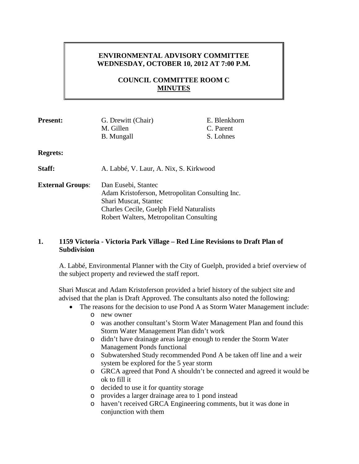# **ENVIRONMENTAL ADVISORY COMMITTEE WEDNESDAY, OCTOBER 10, 2012 AT 7:00 P.M.**

# **COUNCIL COMMITTEE ROOM C MINUTES**

| <b>Present:</b>         | G. Drewitt (Chair)<br>M. Gillen                                                                                                                                                        | E. Blenkhorn<br>C. Parent |
|-------------------------|----------------------------------------------------------------------------------------------------------------------------------------------------------------------------------------|---------------------------|
|                         | <b>B.</b> Mungall                                                                                                                                                                      | S. Lohnes                 |
| <b>Regrets:</b>         |                                                                                                                                                                                        |                           |
| Staff:                  | A. Labbé, V. Laur, A. Nix, S. Kirkwood                                                                                                                                                 |                           |
| <b>External Groups:</b> | Dan Eusebi, Stantec<br>Adam Kristoferson, Metropolitan Consulting Inc.<br>Shari Muscat, Stantec<br>Charles Cecile, Guelph Field Naturalists<br>Robert Walters, Metropolitan Consulting |                           |

## **1. 1159 Victoria - Victoria Park Village – Red Line Revisions to Draft Plan of Subdivision**

A. Labbé, Environmental Planner with the City of Guelph, provided a brief overview of the subject property and reviewed the staff report.

Shari Muscat and Adam Kristoferson provided a brief history of the subject site and advised that the plan is Draft Approved. The consultants also noted the following:

- The reasons for the decision to use Pond A as Storm Water Management include: o new owner
	- o was another consultant's Storm Water Management Plan and found this Storm Water Management Plan didn't work
	- o didn't have drainage areas large enough to render the Storm Water Management Ponds functional
	- o Subwatershed Study recommended Pond A be taken off line and a weir system be explored for the 5 year storm
	- o GRCA agreed that Pond A shouldn't be connected and agreed it would be ok to fill it
	- o decided to use it for quantity storage
	- o provides a larger drainage area to 1 pond instead
	- o haven't received GRCA Engineering comments, but it was done in conjunction with them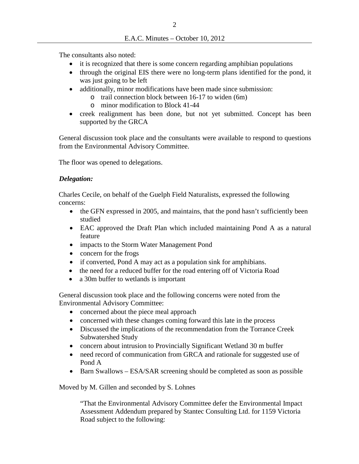The consultants also noted:

- it is recognized that there is some concern regarding amphibian populations
- through the original EIS there were no long-term plans identified for the pond, it was just going to be left
- additionally, minor modifications have been made since submission:
	- o trail connection block between 16-17 to widen (6m)
	- o minor modification to Block 41-44
- creek realignment has been done, but not yet submitted. Concept has been supported by the GRCA

General discussion took place and the consultants were available to respond to questions from the Environmental Advisory Committee.

The floor was opened to delegations.

## *Delegation:*

Charles Cecile, on behalf of the Guelph Field Naturalists, expressed the following concerns:

- the GFN expressed in 2005, and maintains, that the pond hasn't sufficiently been studied
- EAC approved the Draft Plan which included maintaining Pond A as a natural feature
- impacts to the Storm Water Management Pond
- concern for the frogs
- if converted, Pond A may act as a population sink for amphibians.
- the need for a reduced buffer for the road entering off of Victoria Road
- a 30m buffer to wetlands is important

General discussion took place and the following concerns were noted from the Environmental Advisory Committee:

- concerned about the piece meal approach
- concerned with these changes coming forward this late in the process
- Discussed the implications of the recommendation from the Torrance Creek Subwatershed Study
- concern about intrusion to Provincially Significant Wetland 30 m buffer
- need record of communication from GRCA and rationale for suggested use of Pond A
- Barn Swallows ESA/SAR screening should be completed as soon as possible

Moved by M. Gillen and seconded by S. Lohnes

"That the Environmental Advisory Committee defer the Environmental Impact Assessment Addendum prepared by Stantec Consulting Ltd. for 1159 Victoria Road subject to the following: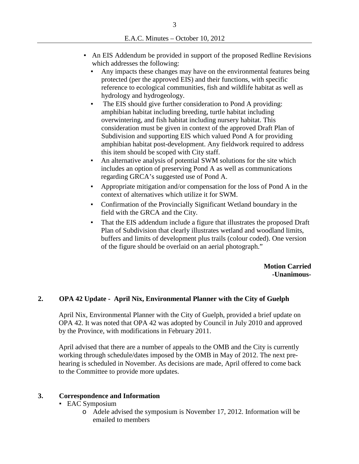- An EIS Addendum be provided in support of the proposed Redline Revisions which addresses the following:
	- **Any impacts these changes may have on the environmental features being** protected (per the approved EIS) and their functions, with specific reference to ecological communities, fish and wildlife habitat as well as hydrology and hydrogeology.
	- The EIS should give further consideration to Pond A providing: amphibian habitat including breeding, turtle habitat including overwintering, and fish habitat including nursery habitat. This consideration must be given in context of the approved Draft Plan of Subdivision and supporting EIS which valued Pond A for providing amphibian habitat post-development. Any fieldwork required to address this item should be scoped with City staff.
	- An alternative analysis of potential SWM solutions for the site which includes an option of preserving Pond A as well as communications regarding GRCA's suggested use of Pond A.
	- Appropriate mitigation and/or compensation for the loss of Pond A in the context of alternatives which utilize it for SWM.
	- Confirmation of the Provincially Significant Wetland boundary in the field with the GRCA and the City.
	- That the EIS addendum include a figure that illustrates the proposed Draft Plan of Subdivision that clearly illustrates wetland and woodland limits, buffers and limits of development plus trails (colour coded). One version of the figure should be overlaid on an aerial photograph."

**Motion Carried -Unanimous-**

## **2. OPA 42 Update - April Nix, Environmental Planner with the City of Guelph**

April Nix, Environmental Planner with the City of Guelph, provided a brief update on OPA 42. It was noted that OPA 42 was adopted by Council in July 2010 and approved by the Province, with modifications in February 2011.

April advised that there are a number of appeals to the OMB and the City is currently working through schedule/dates imposed by the OMB in May of 2012. The next prehearing is scheduled in November. As decisions are made, April offered to come back to the Committee to provide more updates.

## **3. Correspondence and Information**

- **EAC Symposium** 
	- o Adele advised the symposium is November 17, 2012. Information will be emailed to members